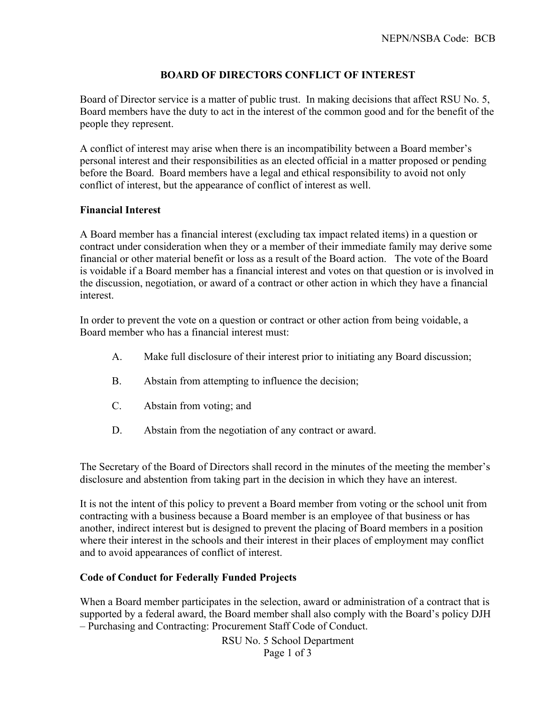# **BOARD OF DIRECTORS CONFLICT OF INTEREST**

Board of Director service is a matter of public trust. In making decisions that affect RSU No. 5, Board members have the duty to act in the interest of the common good and for the benefit of the people they represent.

A conflict of interest may arise when there is an incompatibility between a Board member's personal interest and their responsibilities as an elected official in a matter proposed or pending before the Board. Board members have a legal and ethical responsibility to avoid not only conflict of interest, but the appearance of conflict of interest as well.

#### **Financial Interest**

A Board member has a financial interest (excluding tax impact related items) in a question or contract under consideration when they or a member of their immediate family may derive some financial or other material benefit or loss as a result of the Board action. The vote of the Board is voidable if a Board member has a financial interest and votes on that question or is involved in the discussion, negotiation, or award of a contract or other action in which they have a financial interest.

In order to prevent the vote on a question or contract or other action from being voidable, a Board member who has a financial interest must:

- A. Make full disclosure of their interest prior to initiating any Board discussion;
- B. Abstain from attempting to influence the decision;
- C. Abstain from voting; and
- D. Abstain from the negotiation of any contract or award.

The Secretary of the Board of Directors shall record in the minutes of the meeting the member's disclosure and abstention from taking part in the decision in which they have an interest.

It is not the intent of this policy to prevent a Board member from voting or the school unit from contracting with a business because a Board member is an employee of that business or has another, indirect interest but is designed to prevent the placing of Board members in a position where their interest in the schools and their interest in their places of employment may conflict and to avoid appearances of conflict of interest.

#### **Code of Conduct for Federally Funded Projects**

When a Board member participates in the selection, award or administration of a contract that is supported by a federal award, the Board member shall also comply with the Board's policy DJH – Purchasing and Contracting: Procurement Staff Code of Conduct.

> RSU No. 5 School Department Page 1 of 3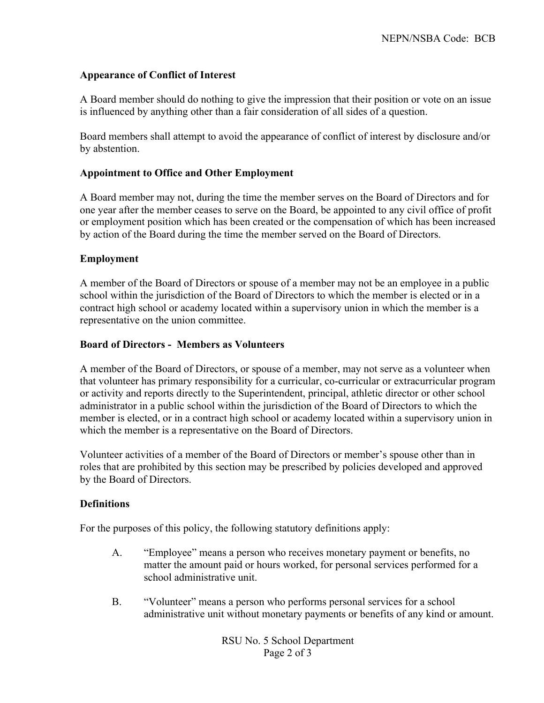# **Appearance of Conflict of Interest**

A Board member should do nothing to give the impression that their position or vote on an issue is influenced by anything other than a fair consideration of all sides of a question.

Board members shall attempt to avoid the appearance of conflict of interest by disclosure and/or by abstention.

### **Appointment to Office and Other Employment**

A Board member may not, during the time the member serves on the Board of Directors and for one year after the member ceases to serve on the Board, be appointed to any civil office of profit or employment position which has been created or the compensation of which has been increased by action of the Board during the time the member served on the Board of Directors.

# **Employment**

A member of the Board of Directors or spouse of a member may not be an employee in a public school within the jurisdiction of the Board of Directors to which the member is elected or in a contract high school or academy located within a supervisory union in which the member is a representative on the union committee.

# **Board of Directors - Members as Volunteers**

A member of the Board of Directors, or spouse of a member, may not serve as a volunteer when that volunteer has primary responsibility for a curricular, co-curricular or extracurricular program or activity and reports directly to the Superintendent, principal, athletic director or other school administrator in a public school within the jurisdiction of the Board of Directors to which the member is elected, or in a contract high school or academy located within a supervisory union in which the member is a representative on the Board of Directors.

Volunteer activities of a member of the Board of Directors or member's spouse other than in roles that are prohibited by this section may be prescribed by policies developed and approved by the Board of Directors.

# **Definitions**

For the purposes of this policy, the following statutory definitions apply:

- A. "Employee" means a person who receives monetary payment or benefits, no matter the amount paid or hours worked, for personal services performed for a school administrative unit.
- B. "Volunteer" means a person who performs personal services for a school administrative unit without monetary payments or benefits of any kind or amount.

RSU No. 5 School Department Page 2 of 3